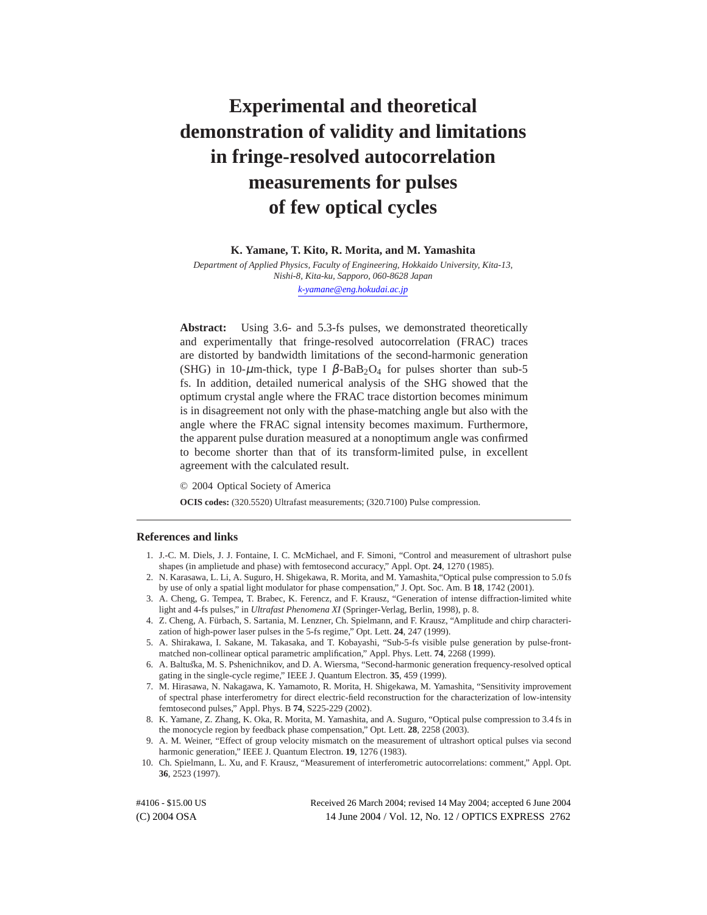# **Experimental and theoretical demonstration of validity and limitations in fringe-resolved autocorrelation measurements for pulses of few optical cycles**

**K. Yamane, T. Kito, R. Morita, and M. Yamashita**

*Department of Applied Physics, Faculty of Engineering, Hokkaido University, Kita-13, Nishi-8, Kita-ku, Sapporo, 060-8628 Japan*

*[k-yamane@eng.hokudai.ac.jp](mailto:k-yamane@eng.hokudai.ac.jp)*

**Abstract:** Using 3.6- and 5.3-fs pulses, we demonstrated theoretically and experimentally that fringe-resolved autocorrelation (FRAC) traces are distorted by bandwidth limitations of the second-harmonic generation (SHG) in 10- $\mu$ m-thick, type I  $\beta$ -BaB<sub>2</sub>O<sub>4</sub> for pulses shorter than sub-5 fs. In addition, detailed numerical analysis of the SHG showed that the optimum crystal angle where the FRAC trace distortion becomes minimum is in disagreement not only with the phase-matching angle but also with the angle where the FRAC signal intensity becomes maximum. Furthermore, the apparent pulse duration measured at a nonoptimum angle was confirmed to become shorter than that of its transform-limited pulse, in excellent agreement with the calculated result.

© 2004 Optical Society of America

**OCIS codes:** (320.5520) Ultrafast measurements; (320.7100) Pulse compression.

#### **References and links**

- 1. J.-C. M. Diels, J. J. Fontaine, I. C. McMichael, and F. Simoni, "Control and measurement of ultrashort pulse shapes (in amplietude and phase) with femtosecond accuracy," Appl. Opt. **24**, 1270 (1985).
- 2. N. Karasawa, L. Li, A. Suguro, H. Shigekawa, R. Morita, and M. Yamashita,"Optical pulse compression to 5.0 fs by use of only a spatial light modulator for phase compensation," J. Opt. Soc. Am. B **18**, 1742 (2001).
- 3. A. Cheng, G. Tempea, T. Brabec, K. Ferencz, and F. Krausz, "Generation of intense diffraction-limited white light and 4-fs pulses," in *Ultrafast Phenomena XI* (Springer-Verlag, Berlin, 1998), p. 8.
- 4. Z. Cheng, A. Furbach, S. Sartania, M. Lenzner, Ch. Spielmann, and F. Krausz, "Amplitude and chirp characteri- ¨ zation of high-power laser pulses in the 5-fs regime," Opt. Lett. **24**, 247 (1999).
- 5. A. Shirakawa, I. Sakane, M. Takasaka, and T. Kobayashi, "Sub-5-fs visible pulse generation by pulse-frontmatched non-collinear optical parametric amplification," Appl. Phys. Lett. **74**, 2268 (1999).
- 6. A. Baltu ˘*s*ka, M. S. Pshenichnikov, and D. A. Wiersma, "Second-harmonic generation frequency-resolved optical gating in the single-cycle regime," IEEE J. Quantum Electron. **35**, 459 (1999).
- 7. M. Hirasawa, N. Nakagawa, K. Yamamoto, R. Morita, H. Shigekawa, M. Yamashita, "Sensitivity improvement of spectral phase interferometry for direct electric-field reconstruction for the characterization of low-intensity femtosecond pulses," Appl. Phys. B **74**, S225-229 (2002).
- 8. K. Yamane, Z. Zhang, K. Oka, R. Morita, M. Yamashita, and A. Suguro, "Optical pulse compression to 3.4 fs in the monocycle region by feedback phase compensation," Opt. Lett. **28**, 2258 (2003).
- 9. A. M. Weiner, "Effect of group velocity mismatch on the measurement of ultrashort optical pulses via second harmonic generation," IEEE J. Quantum Electron. **19**, 1276 (1983).
- 10. Ch. Spielmann, L. Xu, and F. Krausz, "Measurement of interferometric autocorrelations: comment," Appl. Opt. **36**, 2523 (1997).

(C) 2004 OSA 14 June 2004 / Vol. 12, No. 12 / OPTICS EXPRESS 2762 #4106 - \$15.00 US Received 26 March 2004; revised 14 May 2004; accepted 6 June 2004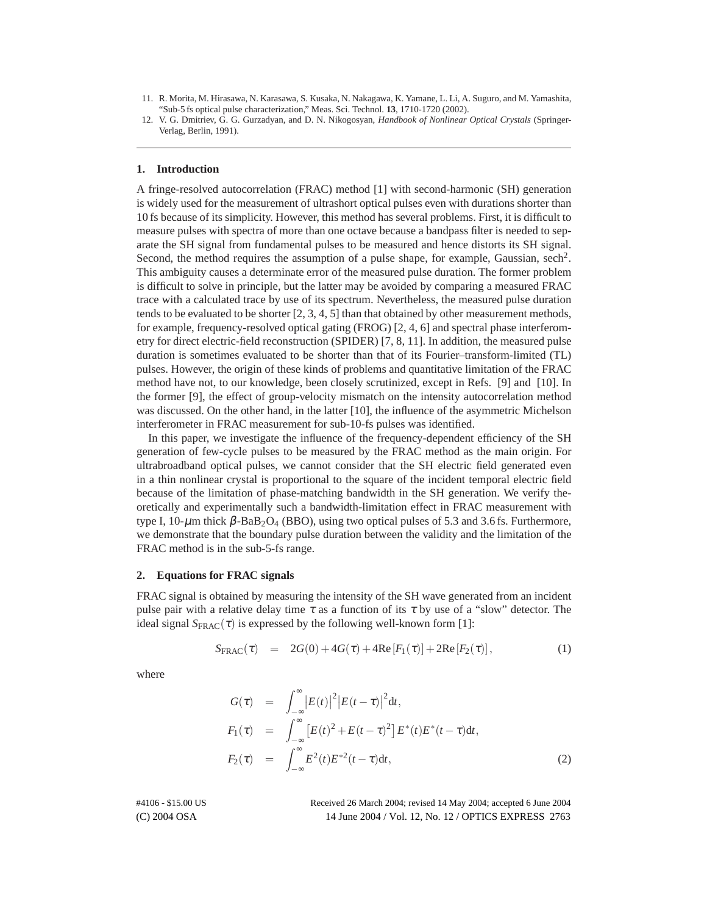- 11. R. Morita, M. Hirasawa, N. Karasawa, S. Kusaka, N. Nakagawa, K. Yamane, L. Li, A. Suguro, and M. Yamashita, "Sub-5 fs optical pulse characterization," Meas. Sci. Technol. **13**, 1710-1720 (2002).
- 12. V. G. Dmitriev, G. G. Gurzadyan, and D. N. Nikogosyan, *Handbook of Nonlinear Optical Crystals* (Springer-Verlag, Berlin, 1991).

#### **1. Introduction**

A fringe-resolved autocorrelation (FRAC) method [1] with second-harmonic (SH) generation is widely used for the measurement of ultrashort optical pulses even with durations shorter than 10 fs because of its simplicity. However, this method has several problems. First, it is difficult to measure pulses with spectra of more than one octave because a bandpass filter is needed to separate the SH signal from fundamental pulses to be measured and hence distorts its SH signal. Second, the method requires the assumption of a pulse shape, for example, Gaussian, sech<sup>2</sup>. This ambiguity causes a determinate error of the measured pulse duration. The former problem is difficult to solve in principle, but the latter may be avoided by comparing a measured FRAC trace with a calculated trace by use of its spectrum. Nevertheless, the measured pulse duration tends to be evaluated to be shorter  $[2, 3, 4, 5]$  than that obtained by other measurement methods, for example, frequency-resolved optical gating (FROG) [2, 4, 6] and spectral phase interferometry for direct electric-field reconstruction (SPIDER) [7, 8, 11]. In addition, the measured pulse duration is sometimes evaluated to be shorter than that of its Fourier–transform-limited (TL) pulses. However, the origin of these kinds of problems and quantitative limitation of the FRAC method have not, to our knowledge, been closely scrutinized, except in Refs. [9] and [10]. In the former [9], the effect of group-velocity mismatch on the intensity autocorrelation method was discussed. On the other hand, in the latter [10], the influence of the asymmetric Michelson interferometer in FRAC measurement for sub-10-fs pulses was identified.

In this paper, we investigate the influence of the frequency-dependent efficiency of the SH generation of few-cycle pulses to be measured by the FRAC method as the main origin. For ultrabroadband optical pulses, we cannot consider that the SH electric field generated even in a thin nonlinear crystal is proportional to the square of the incident temporal electric field because of the limitation of phase-matching bandwidth in the SH generation. We verify theoretically and experimentally such a bandwidth-limitation effect in FRAC measurement with type I,  $10$ - $\mu$ m thick  $\beta$ -BaB<sub>2</sub>O<sub>4</sub> (BBO), using two optical pulses of 5.3 and 3.6 fs. Furthermore, we demonstrate that the boundary pulse duration between the validity and the limitation of the FRAC method is in the sub-5-fs range.

#### **2. Equations for FRAC signals**

FRAC signal is obtained by measuring the intensity of the SH wave generated from an incident pulse pair with a relative delay time  $\tau$  as a function of its  $\tau$  by use of a "slow" detector. The ideal signal  $S_{\text{FRAC}}(\tau)$  is expressed by the following well-known form [1]:

$$
S_{\text{FRAC}}(\tau) = 2G(0) + 4G(\tau) + 4\text{Re}[F_1(\tau)] + 2\text{Re}[F_2(\tau)], \qquad (1)
$$

where

$$
G(\tau) = \int_{-\infty}^{\infty} |E(t)|^2 |E(t-\tau)|^2 dt,
$$
  
\n
$$
F_1(\tau) = \int_{-\infty}^{\infty} [E(t)^2 + E(t-\tau)^2] E^*(t) E^*(t-\tau) dt,
$$
  
\n
$$
F_2(\tau) = \int_{-\infty}^{\infty} E^2(t) E^{*2}(t-\tau) dt,
$$
\n(2)

(C) 2004 OSA 14 June 2004 / Vol. 12, No. 12 / OPTICS EXPRESS 2763 #4106 - \$15.00 US Received 26 March 2004; revised 14 May 2004; accepted 6 June 2004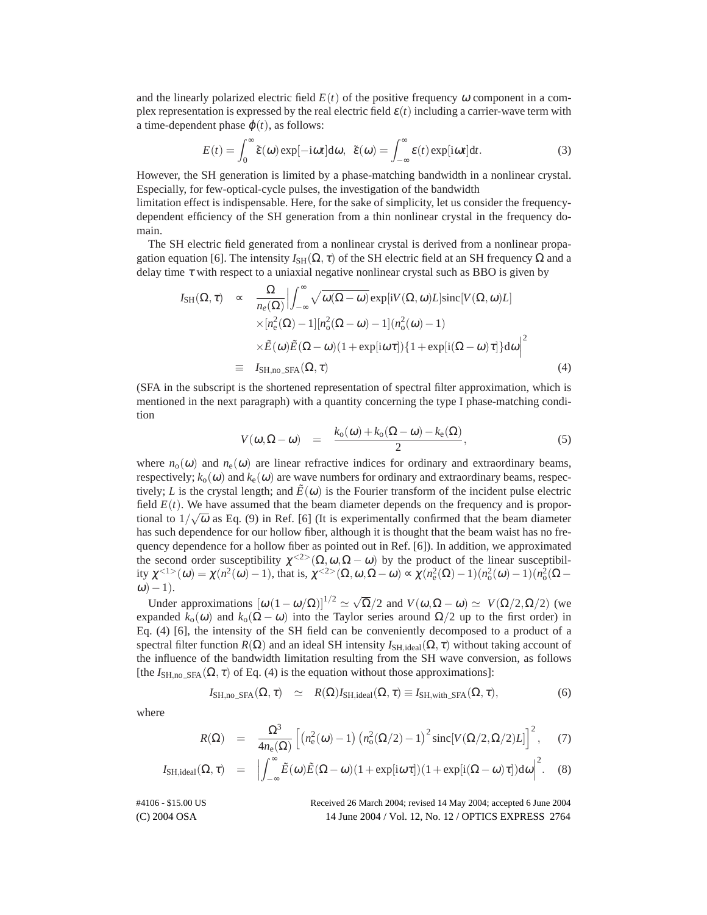and the linearly polarized electric field  $E(t)$  of the positive frequency  $\omega$  component in a complex representation is expressed by the real electric field  $\varepsilon(t)$  including a carrier-wave term with a time-dependent phase  $\varphi(t)$ , as follows:

$$
E(t) = \int_0^\infty \tilde{\varepsilon}(\omega) \exp[-i\omega t] d\omega, \ \ \tilde{\varepsilon}(\omega) = \int_{-\infty}^\infty \varepsilon(t) \exp[i\omega t] dt. \tag{3}
$$

However, the SH generation is limited by a phase-matching bandwidth in a nonlinear crystal. Especially, for few-optical-cycle pulses, the investigation of the bandwidth

limitation effect is indispensable. Here, for the sake of simplicity, let us consider the frequencydependent efficiency of the SH generation from a thin nonlinear crystal in the frequency domain.

The SH electric field generated from a nonlinear crystal is derived from a nonlinear propagation equation [6]. The intensity  $I_{\text{SH}}(\Omega, \tau)$  of the SH electric field at an SH frequency  $\Omega$  and a delay time  $\tau$  with respect to a uniaxial negative nonlinear crystal such as BBO is given by

$$
I_{\rm SH}(\Omega, \tau) \propto \frac{\Omega}{n_e(\Omega)} \Big| \int_{-\infty}^{\infty} \sqrt{\omega(\Omega - \omega)} \exp[iV(\Omega, \omega)L] \sin[V(\Omega, \omega)L] \times [n_e^2(\Omega) - 1][n_0^2(\Omega - \omega) - 1](n_0^2(\omega) - 1) \times \tilde{E}(\omega)\tilde{E}(\Omega - \omega)(1 + \exp[i\omega\tau])\{1 + \exp[i(\Omega - \omega)\tau]\} d\omega \Big|^2
$$
  

$$
\equiv I_{\rm SH,no\_SFA}(\Omega, \tau) \tag{4}
$$

(SFA in the subscript is the shortened representation of spectral filter approximation, which is mentioned in the next paragraph) with a quantity concerning the type I phase-matching condition

$$
V(\omega,\Omega-\omega) = \frac{k_0(\omega)+k_0(\Omega-\omega)-k_e(\Omega)}{2}, \qquad (5)
$$

where  $n_0(\omega)$  and  $n_e(\omega)$  are linear refractive indices for ordinary and extraordinary beams, respectively;  $k_0(\omega)$  and  $k_e(\omega)$  are wave numbers for ordinary and extraordinary beams, respectively; *L* is the crystal length; and  $\tilde{E}(\omega)$  is the Fourier transform of the incident pulse electric field  $E(t)$ . We have assumed that the beam diameter depends on the frequency and is proportional to  $1/\sqrt{\omega}$  as Eq. (9) in Ref. [6] (It is experimentally confirmed that the beam diameter has such dependence for our hollow fiber, although it is thought that the beam waist has no frequency dependence for a hollow fiber as pointed out in Ref. [6]). In addition, we approximated the second order susceptibility  $\chi^{2}(\Omega, \omega, \Omega - \omega)$  by the product of the linear susceptibility  $\chi^{1>}(0) = \chi(n^2(\omega) - 1)$ , that is,  $\chi^{1>}(0, \omega, \Omega - \omega) \propto \chi(n_e^2(\Omega) - 1)(n_o^2(\omega) - 1)(n_o^2(\Omega \omega$ ) – 1).

Under approximations  $[\omega (1 - \omega/\Omega)]^{1/2} \simeq \sqrt{\Omega}/2$  and  $V(\omega, \Omega - \omega) \simeq V(\Omega/2, \Omega/2)$  (we expanded  $k_0(\omega)$  and  $k_0(\Omega - \omega)$  into the Taylor series around  $\Omega/2$  up to the first order) in Eq. (4) [6], the intensity of the SH field can be conveniently decomposed to a product of a spectral filter function  $R(\Omega)$  and an ideal SH intensity  $I_{\text{SH},\text{ideal}}(\Omega,\tau)$  without taking account of the influence of the bandwidth limitation resulting from the SH wave conversion, as follows [the  $I_{\text{SH},\text{no\_SFA}}(\Omega,\tau)$  of Eq. (4) is the equation without those approximations]:

$$
I_{\text{SH},\text{no\_SFA}}(\Omega,\tau) \quad \simeq \quad R(\Omega)I_{\text{SH},\text{ideal}}(\Omega,\tau) \equiv I_{\text{SH},\text{with\_SFA}}(\Omega,\tau),\tag{6}
$$

where

$$
R(\Omega) = \frac{\Omega^3}{4n_e(\Omega)} \left[ \left( n_e^2(\omega) - 1 \right) \left( n_o^2(\Omega/2) - 1 \right)^2 \operatorname{sinc}[V(\Omega/2, \Omega/2)L] \right]^2, \quad (7)
$$

$$
I_{\text{SH},\text{ideal}}(\Omega,\tau) = \left| \int_{-\infty}^{\infty} \tilde{E}(\omega) \tilde{E}(\Omega-\omega) (1+\exp[i\omega\tau]) (1+\exp[i(\Omega-\omega)\tau]) \text{d}\omega \right|^2. \quad (8)
$$

(C) 2004 OSA 14 June 2004 / Vol. 12, No. 12 / OPTICS EXPRESS 2764 #4106 - \$15.00 US Received 26 March 2004; revised 14 May 2004; accepted 6 June 2004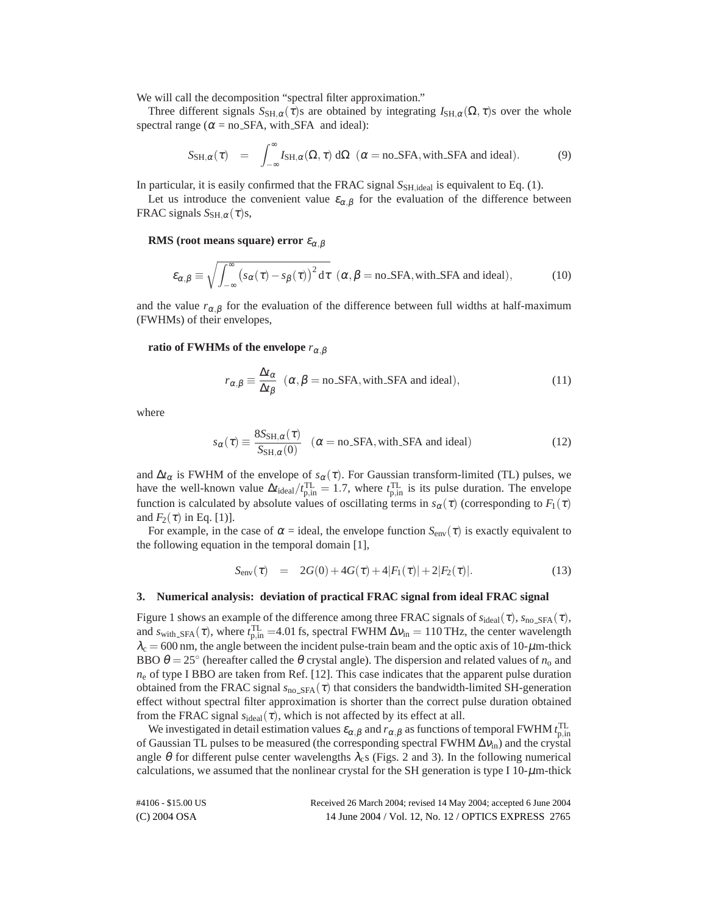We will call the decomposition "spectral filter approximation."

Three different signals  $S_{\text{SH},\alpha}(\tau)$ s are obtained by integrating  $I_{\text{SH},\alpha}(\Omega,\tau)$  over the whole spectral range ( $\alpha$  = no SFA, with SFA and ideal):

$$
S_{\mathrm{SH},\alpha}(\tau) = \int_{-\infty}^{\infty} I_{\mathrm{SH},\alpha}(\Omega,\tau) \, d\Omega \, (\alpha = \text{no\_SFA}, \text{with\_SFA and ideal}). \tag{9}
$$

In particular, it is easily confirmed that the FRAC signal  $S_{\text{SH},\text{ideal}}$  is equivalent to Eq. (1).

Let us introduce the convenient value  $\varepsilon_{\alpha,\beta}$  for the evaluation of the difference between FRAC signals  $S_{\text{SH},\alpha}(\tau)$ s,

## **RMS** (root means square) error  $\varepsilon_{\alpha,\beta}$

$$
\varepsilon_{\alpha,\beta} \equiv \sqrt{\int_{-\infty}^{\infty} (s_{\alpha}(\tau) - s_{\beta}(\tau))^2 d\tau} \quad (\alpha,\beta = \text{no\_SFA}, \text{with\_SFA and ideal}), \tag{10}
$$

and the value  $r_{\alpha,\beta}$  for the evaluation of the difference between full widths at half-maximum (FWHMs) of their envelopes,

#### **ratio of FWHMs of the envelope**  $r_{\alpha,\beta}$

$$
r_{\alpha,\beta} \equiv \frac{\Delta t_{\alpha}}{\Delta t_{\beta}} \quad (\alpha, \beta = \text{no\_SFA}, \text{with\_SFA and ideal}), \tag{11}
$$

where

$$
s_{\alpha}(\tau) \equiv \frac{8S_{\text{SH},\alpha}(\tau)}{S_{\text{SH},\alpha}(0)} \quad (\alpha = \text{no\_SFA}, \text{with\_SFA and ideal}) \tag{12}
$$

and  $\Delta t_{\alpha}$  is FWHM of the envelope of  $s_{\alpha}(\tau)$ . For Gaussian transform-limited (TL) pulses, we have the well-known value  $\Delta t_{\text{ideal}}/t_{\text{p,in}}^{\text{TL}} = 1.7$ , where  $t_{\text{p,in}}^{\text{TL}}$  is its pulse duration. The envelope function is calculated by absolute values of oscillating terms in  $s_\alpha(\tau)$  (corresponding to  $F_1(\tau)$ ) and  $F_2(\tau)$  in Eq. [1)].

For example, in the case of  $\alpha$  = ideal, the envelope function  $S_{env}(\tau)$  is exactly equivalent to the following equation in the temporal domain [1],

$$
S_{\text{env}}(\tau) = 2G(0) + 4G(\tau) + 4|F_1(\tau)| + 2|F_2(\tau)|. \tag{13}
$$

#### **3. Numerical analysis: deviation of practical FRAC signal from ideal FRAC signal**

Figure 1 shows an example of the difference among three FRAC signals of  $s_{ideal}(\tau)$ ,  $s_{no\_SFA}(\tau)$ , and  $s_{\text{with\_SFA}}(\tau)$ , where  $t_{\text{p,in}}^{\text{TL}}$  =4.01 fs, spectral FWHM  $\Delta v_{\text{in}}$  = 110 THz, the center wavelength  $\lambda_c = 600$  nm, the angle between the incident pulse-train beam and the optic axis of 10- $\mu$ m-thick BBO  $\theta = 25^\circ$  (hereafter called the  $\theta$  crystal angle). The dispersion and related values of  $n_0$  and  $n_e$  of type I BBO are taken from Ref. [12]. This case indicates that the apparent pulse duration obtained from the FRAC signal  $s_{\text{no\_SFA}}(\tau)$  that considers the bandwidth-limited SH-generation effect without spectral filter approximation is shorter than the correct pulse duration obtained from the FRAC signal  $s_{ideal}(\tau)$ , which is not affected by its effect at all.

We investigated in detail estimation values  $\varepsilon_{\alpha,\beta}$  and  $r_{\alpha,\beta}$  as functions of temporal FWHM  $t_{p,in}^{TL}$ of Gaussian TL pulses to be measured (the corresponding spectral FWHM  $\Delta v_{\text{in}}$ ) and the crystal angle  $\theta$  for different pulse center wavelengths  $\lambda_c$ s (Figs. 2 and 3). In the following numerical calculations, we assumed that the nonlinear crystal for the SH generation is type I 10- $\mu$ m-thick

| #4106 - \$15.00 US | Received 26 March 2004; revised 14 May 2004; accepted 6 June 2004 |
|--------------------|-------------------------------------------------------------------|
| $(C) 2004$ OSA     | 14 June 2004 / Vol. 12, No. 12 / OPTICS EXPRESS 2765              |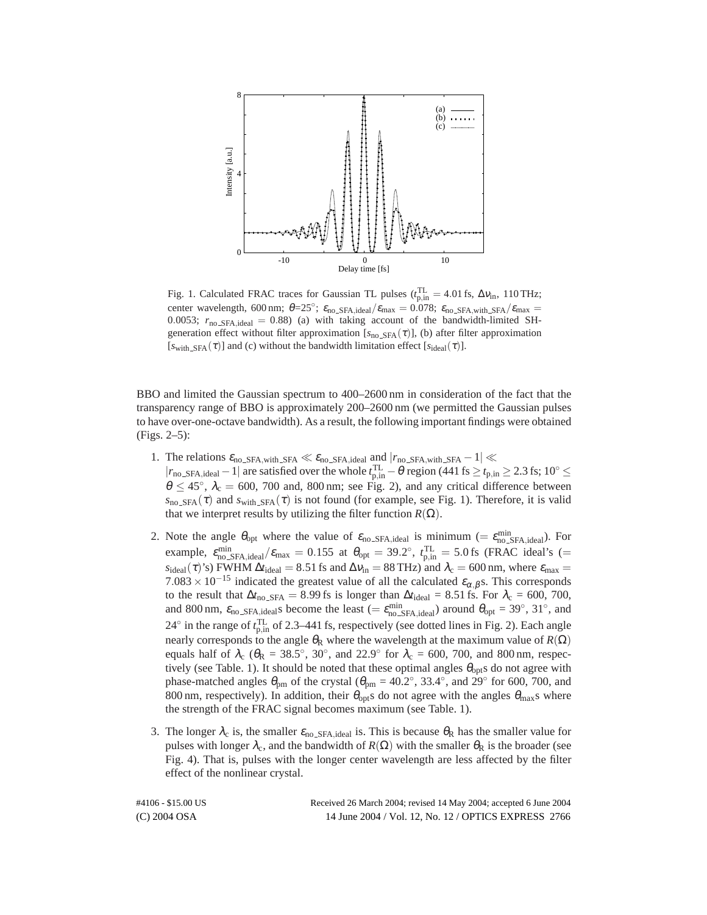

Fig. 1. Calculated FRAC traces for Gaussian TL pulses ( $t_{p,in}^{TL} = 4.01$  fs,  $\Delta v_{in}$ , 110 THz; center wavelength, 600 nm;  $\theta = 25^\circ$ ;  $\varepsilon_{\text{no\_SFA},\text{ideal}}/\varepsilon_{\text{max}} = 0.078$ ;  $\varepsilon_{\text{no\_SFA},\text{with\_SFA}}/\varepsilon_{\text{max}} =$ 0.0053;  $r_{\text{no\_SFA},\text{ideal}} = 0.88$ ) (a) with taking account of the bandwidth-limited SHgeneration effect without filter approximation  $[s_{no\_SFA}(\tau)]$ , (b) after filter approximation  $[s_{\text{with SFA}}(\tau)]$  and (c) without the bandwidth limitation effect  $[s_{\text{ideal}}(\tau)]$ .

BBO and limited the Gaussian spectrum to 400–2600 nm in consideration of the fact that the transparency range of BBO is approximately 200–2600 nm (we permitted the Gaussian pulses to have over-one-octave bandwidth). As a result, the following important findings were obtained (Figs. 2–5):

- 1. The relations  $\varepsilon_{\text{no\_SFA, with\_SFA}} \ll \varepsilon_{\text{no\_SFA, ideal}}$  and  $|r_{\text{no\_SFA, with\_SFA}} 1| \ll$  $|r_{no\_SFA, ideal} - 1|$  are satisfied over the whole  $t_{p,in}^{TL} - \theta$  region (441 fs ≥  $t_{p,in}$  ≥ 2.3 fs; 10° ≤  $\theta \le 45^{\circ}$ ,  $\lambda_c = 600$ , 700 and, 800 nm; see Fig. 2), and any critical difference between  $s_{\text{no\_SFA}}(\tau)$  and  $s_{\text{with\_SFA}}(\tau)$  is not found (for example, see Fig. 1). Therefore, it is valid that we interpret results by utilizing the filter function  $R(Ω)$ .
- 2. Note the angle  $\theta_{opt}$  where the value of  $\varepsilon_{no\_SFA,ideal}$  is minimum (=  $\varepsilon_{no\_SFA,ideal}^{min}$ ). For example,  $\varepsilon_{\text{no\_SFA},\text{ideal}}^{\text{min}}/\varepsilon_{\text{max}} = 0.155$  at  $\theta_{\text{opt}} = 39.2^\circ$ ,  $t_{\text{p,in}}^{\text{TL}} = 5.0 \text{ fs}$  (FRAC ideal's (=  $s_{\text{ideal}}(\tau)$ 's) FWHM  $\Delta t_{\text{ideal}} = 8.51$  fs and  $\Delta v_{\text{in}} = 88$  THz) and  $\lambda_c = 600$  nm, where  $\varepsilon_{\text{max}} =$  $7.083 \times 10^{-15}$  indicated the greatest value of all the calculated  $\varepsilon_{\alpha,\beta}$ s. This corresponds to the result that  $\Delta t_{\text{no\_SFA}} = 8.99$  fs is longer than  $\Delta t_{\text{ideal}} = 8.51$  fs. For  $\lambda_c = 600$ , 700, and 800 nm,  $\varepsilon_{\text{no\_SFA},\text{ideal}}$  become the least (=  $\varepsilon_{\text{no\_SFA},\text{ideal}}^{\text{min}}$ ) around  $\theta_{\text{opt}} = 39^\circ, 31^\circ$ , and 24 $\degree$  in the range of  $t_{\rm p,in}^{\rm TL}$  of 2.3–441 fs, respectively (see dotted lines in Fig. 2). Each angle nearly corresponds to the angle  $\theta_R$  where the wavelength at the maximum value of  $R(\Omega)$ equals half of  $\lambda_c$  ( $\theta_R = 38.5^\circ$ ,  $30^\circ$ , and  $22.9^\circ$  for  $\lambda_c = 600$ ,  $700$ , and  $800 \text{ nm}$ , respectively (see Table. 1). It should be noted that these optimal angles  $\theta_{\text{opt}}$ s do not agree with phase-matched angles  $\theta_{pm}$  of the crystal ( $\theta_{pm} = 40.2^{\circ}$ , 33.4°, and 29° for 600, 700, and 800 nm, respectively). In addition, their  $\theta_{opt}$ s do not agree with the angles  $\theta_{max}$ s where the strength of the FRAC signal becomes maximum (see Table. 1).
- 3. The longer  $\lambda_c$  is, the smaller  $\varepsilon_{\text{no\_SFA},\text{ideal}}$  is. This is because  $\theta_R$  has the smaller value for pulses with longer  $\lambda_c$ , and the bandwidth of  $R(\Omega)$  with the smaller  $\theta_R$  is the broader (see Fig. 4). That is, pulses with the longer center wavelength are less affected by the filter effect of the nonlinear crystal.

(C) 2004 OSA 14 June 2004 / Vol. 12, No. 12 / OPTICS EXPRESS 2766 #4106 - \$15.00 US Received 26 March 2004; revised 14 May 2004; accepted 6 June 2004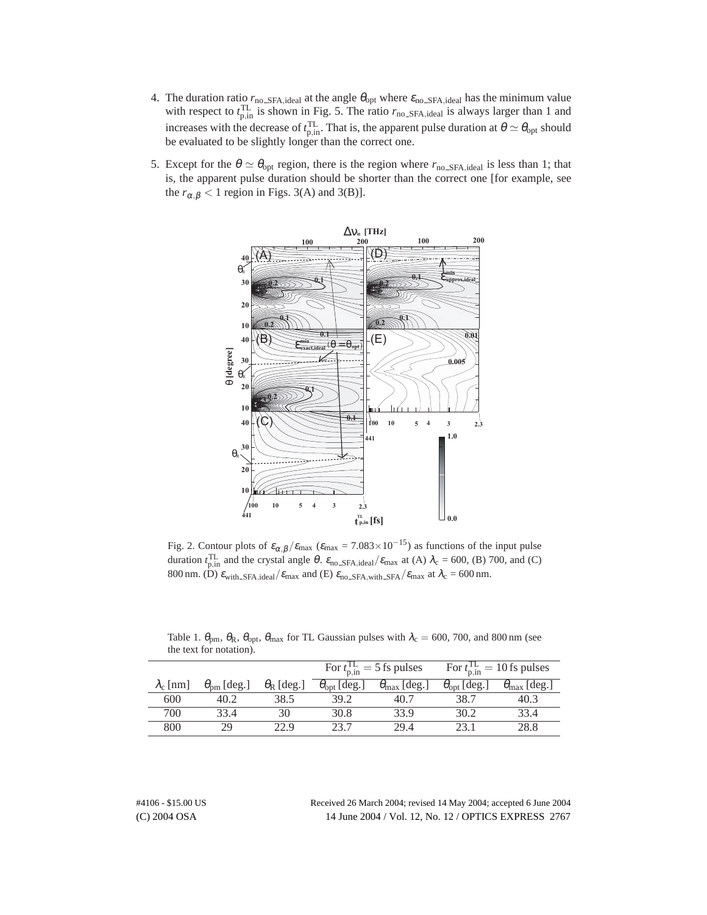- 4. The duration ratio  $r_{\text{no\_SFA},\text{ideal}}$  at the angle  $\theta_{\text{opt}}$  where  $\varepsilon_{\text{no\_SFA},\text{ideal}}$  has the minimum value with respect to  $t_{p,in}^{TL}$  is shown in Fig. 5. The ratio  $r_{no\_SFA,ideal}$  is always larger than 1 and increases with the decrease of  $t_{p,in}^{TL}$ . That is, the apparent pulse duration at  $\theta \simeq \theta_{opt}$  should be evaluated to be slightly longer than the correct one.
- 5. Except for the  $\theta \simeq \theta_{\rm opt}$  region, there is the region where  $r_{\rm no\_SFA, ideal}$  is less than 1; that is, the apparent pulse duration should be shorter than the correct one [for example, see the  $r_{\alpha,\beta} < 1$  region in Figs. 3(A) and 3(B)].



Fig. 2. Contour plots of  $\varepsilon_{\alpha,\beta}/\varepsilon_{\text{max}}$  ( $\varepsilon_{\text{max}} = 7.083 \times 10^{-15}$ ) as functions of the input pulse duration  $t_{p,in}^{TL}$  and the crystal angle  $\theta$ .  $\varepsilon_{no\_SFA,ideal}/\varepsilon_{max}$  at (A)  $\lambda_c = 600$ , (B) 700, and (C) 800 nm. (D)  $\varepsilon_{\text{with\_SFA},\text{ideal}}/\varepsilon_{\text{max}}$  and (E)  $\varepsilon_{\text{no\_SFA},\text{with\_SFA}}/\varepsilon_{\text{max}}$  at  $\lambda_c = 600$  nm.

|                  |                          |                         | For $t_{\text{p,in}}^{\text{IL}} = 5$ fs pulses |                              | For $t_{\min}^{\text{TL}} = 10$ fs pulses |                              |
|------------------|--------------------------|-------------------------|-------------------------------------------------|------------------------------|-------------------------------------------|------------------------------|
| $\lambda_c$ [nm] | $\theta_{\rm pm}$ [deg.] | $\theta_{\rm R}$ [deg.] | $\theta_{opt}$ [deg.]                           | $\theta_{\text{max}}$ [deg.] | $\theta_{opt}$ [deg.]                     | $\theta_{\text{max}}$ [deg.] |
| 600              | 40.2                     | 38.5                    | 39.2                                            | 40.7                         | 38.7                                      | 40.3                         |
| 700              | 33.4                     | 30                      | 30.8                                            | 33.9                         | 30.2                                      | 33.4                         |
| 800              | 29                       | 22.9                    | 23 7                                            | 29.4                         | 231                                       | 28.8                         |

Table 1.  $\theta_{\rm pm}$ ,  $\theta_{\rm R}$ ,  $\theta_{\rm opt}$ ,  $\theta_{\rm max}$  for TL Gaussian pulses with  $\lambda_c = 600$ , 700, and 800 nm (see the text for notation).

(C) 2004 OSA 14 June 2004 / Vol. 12, No. 12 / OPTICS EXPRESS 2767 #4106 - \$15.00 US Received 26 March 2004; revised 14 May 2004; accepted 6 June 2004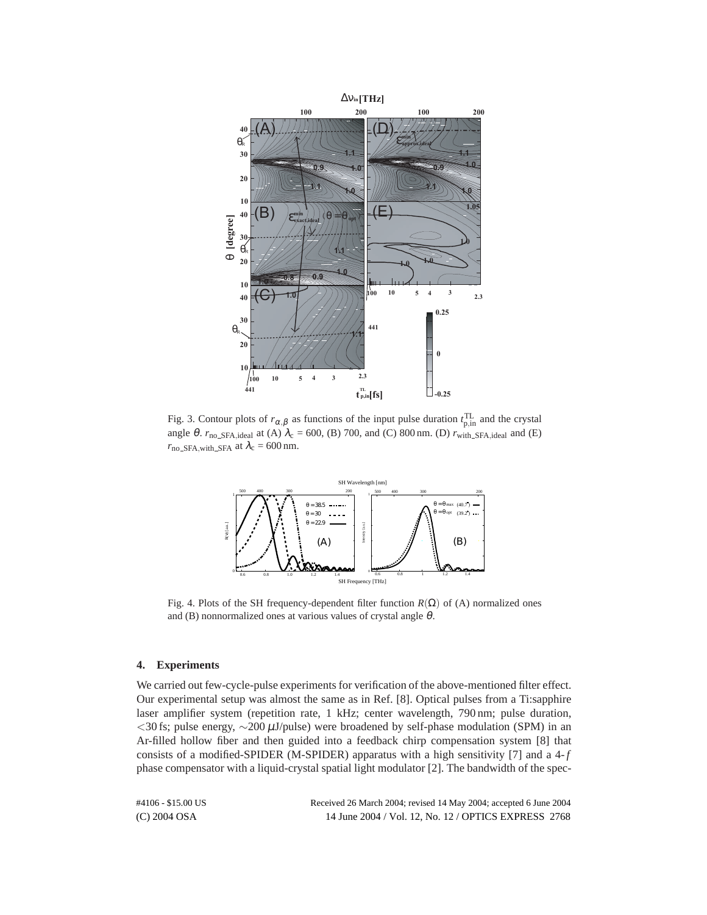

Fig. 3. Contour plots of  $r_{\alpha,\beta}$  as functions of the input pulse duration  $t_{p,in}^{TL}$  and the crystal angle  $\theta$ .  $r_{\text{no\_SFA},\text{ideal}}$  at (A)  $\lambda_c$  = 600, (B) 700, and (C) 800 nm. (D)  $r_{\text{with\_SFA},\text{ideal}}$  and (E)  $r_{no\_SFA, with\_SFA}$  at  $\lambda_c = 600$  nm.



Fig. 4. Plots of the SH frequency-dependent filter function  $R(\Omega)$  of (A) normalized ones and (B) nonnormalized ones at various values of crystal angle  $\theta$ .

### **4. Experiments**

We carried out few-cycle-pulse experiments for verification of the above-mentioned filter effect. Our experimental setup was almost the same as in Ref. [8]. Optical pulses from a Ti:sapphire laser amplifier system (repetition rate, 1 kHz; center wavelength, 790 nm; pulse duration, *<*30 fs; pulse energy, ∼200 µJ/pulse) were broadened by self-phase modulation (SPM) in an Ar-filled hollow fiber and then guided into a feedback chirp compensation system [8] that consists of a modified-SPIDER (M-SPIDER) apparatus with a high sensitivity [7] and a 4-*f* phase compensator with a liquid-crystal spatial light modulator [2]. The bandwidth of the spec-

(C) 2004 OSA 14 June 2004 / Vol. 12, No. 12 / OPTICS EXPRESS 2768 #4106 - \$15.00 US Received 26 March 2004; revised 14 May 2004; accepted 6 June 2004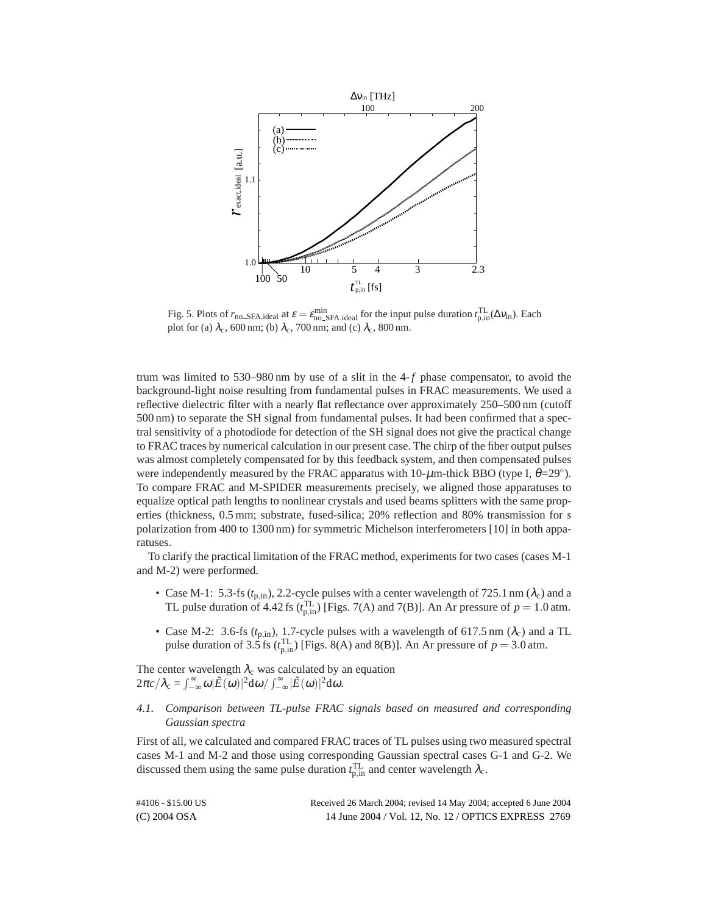

Fig. 5. Plots of  $r_{\text{no\_SFA},\text{ideal}}$  at  $\varepsilon = \varepsilon_{\text{no\_SFA},\text{ideal}}^{\text{min}}$  for the input pulse duration  $t_{\text{p,in}}^{\text{TL}}(\Delta v_{\text{in}})$ . Each plot for (a)  $\lambda_c$ , 600 nm; (b)  $\lambda_c$ , 700 nm; and (c)  $\lambda_c$ , 800 nm.

trum was limited to 530–980 nm by use of a slit in the 4-*f* phase compensator, to avoid the background-light noise resulting from fundamental pulses in FRAC measurements. We used a reflective dielectric filter with a nearly flat reflectance over approximately 250–500 nm (cutoff 500 nm) to separate the SH signal from fundamental pulses. It had been confirmed that a spectral sensitivity of a photodiode for detection of the SH signal does not give the practical change to FRAC traces by numerical calculation in our present case. The chirp of the fiber output pulses was almost completely compensated for by this feedback system, and then compensated pulses were independently measured by the FRAC apparatus with  $10$ - $\mu$ m-thick BBO (type I,  $\theta$ =29°). To compare FRAC and M-SPIDER measurements precisely, we aligned those apparatuses to equalize optical path lengths to nonlinear crystals and used beams splitters with the same properties (thickness, 0.5 mm; substrate, fused-silica; 20% reflection and 80% transmission for *s* polarization from 400 to 1300 nm) for symmetric Michelson interferometers [10] in both apparatuses.

To clarify the practical limitation of the FRAC method, experiments for two cases (cases M-1 and M-2) were performed.

- Case M-1: 5.3-fs  $(t_{p,in})$ , 2.2-cycle pulses with a center wavelength of 725.1 nm  $(\lambda_c)$  and a TL pulse duration of 4.42 fs ( $t_{p,in}^{TL}$ ) [Figs. 7(A) and 7(B)]. An Ar pressure of  $p = 1.0$  atm.
- Case M-2: 3.6-fs  $(t_{p,in})$ , 1.7-cycle pulses with a wavelength of 617.5 nm  $(\lambda_c)$  and a TL pulse duration of 3.5 fs ( $t_{p,in}^{TL}$ ) [Figs. 8(A) and 8(B)]. An Ar pressure of  $p = 3.0$  atm.

The center wavelength  $\lambda_c$  was calculated by an equation  $2\pi c/\lambda_c = \int_{-\infty}^{\infty} \omega |\tilde{E}(\omega)|^2 d\omega / \int_{-\infty}^{\infty} |\tilde{E}(\omega)|^2 d\omega.$ 

*4.1. Comparison between TL-pulse FRAC signals based on measured and corresponding Gaussian spectra*

First of all, we calculated and compared FRAC traces of TL pulses using two measured spectral cases M-1 and M-2 and those using corresponding Gaussian spectral cases G-1 and G-2. We discussed them using the same pulse duration  $t_{p,in}^{TL}$  and center wavelength  $\lambda_c$ .

| #4106 - \$15.00 US | Received 26 March 2004; revised 14 May 2004; accepted 6 June 2004 |
|--------------------|-------------------------------------------------------------------|
| $(C)$ 2004 OSA     | 14 June 2004 / Vol. 12, No. 12 / OPTICS EXPRESS 2769              |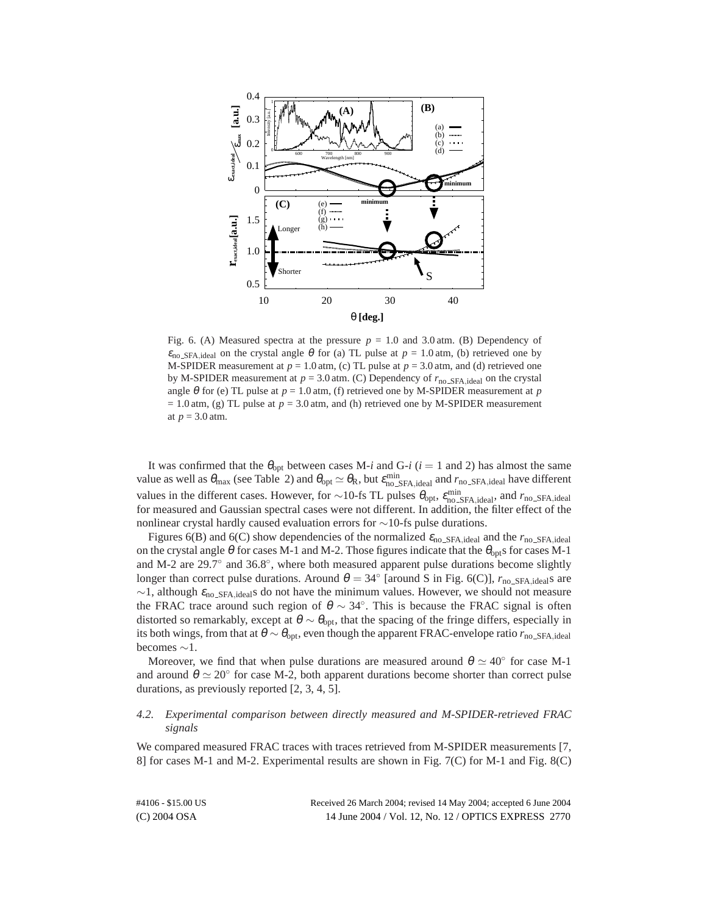

Fig. 6. (A) Measured spectra at the pressure  $p = 1.0$  and 3.0 atm. (B) Dependency of  $\varepsilon_{\text{no\_SFA},\text{ideal}}$  on the crystal angle  $\theta$  for (a) TL pulse at  $p = 1.0$  atm, (b) retrieved one by M-SPIDER measurement at  $p = 1.0$  atm, (c) TL pulse at  $p = 3.0$  atm, and (d) retrieved one by M-SPIDER measurement at  $p = 3.0$  atm. (C) Dependency of  $r_{no\_SFA, ideal}$  on the crystal angle  $\theta$  for (e) TL pulse at  $p = 1.0$  atm, (f) retrieved one by M-SPIDER measurement at  $p$  $= 1.0$  atm, (g) TL pulse at  $p = 3.0$  atm, and (h) retrieved one by M-SPIDER measurement at  $p = 3.0$  atm.

It was confirmed that the  $\theta_{opt}$  between cases M-*i* and G-*i* (*i* = 1 and 2) has almost the same value as well as  $\theta_{\text{max}}$  (see Table 2) and  $\theta_{\text{opt}} \simeq \theta_R$ , but  $\varepsilon_{\text{no\_SFA},\text{ideal}}^{\text{min}}$  and  $r_{\text{no\_SFA},\text{ideal}}$  have different values in the different cases. However, for ∼10-fs TL pulses  $\theta_{opt}$ ,  $\varepsilon_{no\_SFA,ideal}^{min}$ , and  $r_{no\_SFA,ideal}$ for measured and Gaussian spectral cases were not different. In addition, the filter effect of the nonlinear crystal hardly caused evaluation errors for  $\sim$ 10-fs pulse durations.

Figures 6(B) and 6(C) show dependencies of the normalized  $\varepsilon_{\text{no\_SFA},\text{ideal}}$  and the  $r_{\text{no\_SFA},\text{ideal}}$ on the crystal angle  $\theta$  for cases M-1 and M-2. Those figures indicate that the  $\theta_{\text{opt}}$ s for cases M-1 and M-2 are 29.7◦ and 36.8◦, where both measured apparent pulse durations become slightly longer than correct pulse durations. Around  $\theta = 34^\circ$  [around S in Fig. 6(C)],  $r_{\text{no\_SFA},\text{ideal}}$  are  $\sim$ 1, although ε<sub>no</sub> <sub>SFA,ideal</sub>s do not have the minimum values. However, we should not measure the FRAC trace around such region of  $\theta \sim 34^\circ$ . This is because the FRAC signal is often distorted so remarkably, except at  $\theta \sim \theta_{\text{opt}}$ , that the spacing of the fringe differs, especially in its both wings, from that at  $\theta \sim \theta_{opt}$ , even though the apparent FRAC-envelope ratio  $r_{\text{no\_SFA},ideal}$ becomes ∼1.

Moreover, we find that when pulse durations are measured around  $\theta \simeq 40^{\circ}$  for case M-1 and around  $\theta \simeq 20^{\circ}$  for case M-2, both apparent durations become shorter than correct pulse durations, as previously reported [2, 3, 4, 5].

## *4.2. Experimental comparison between directly measured and M-SPIDER-retrieved FRAC signals*

We compared measured FRAC traces with traces retrieved from M-SPIDER measurements [7, 8] for cases M-1 and M-2. Experimental results are shown in Fig. 7(C) for M-1 and Fig. 8(C)

| #4106 - \$15.00 US | Received 26 March 2004; revised 14 May 2004; accepted 6 June 2004 |
|--------------------|-------------------------------------------------------------------|
| $(C)$ 2004 OSA     | 14 June 2004 / Vol. 12, No. 12 / OPTICS EXPRESS 2770              |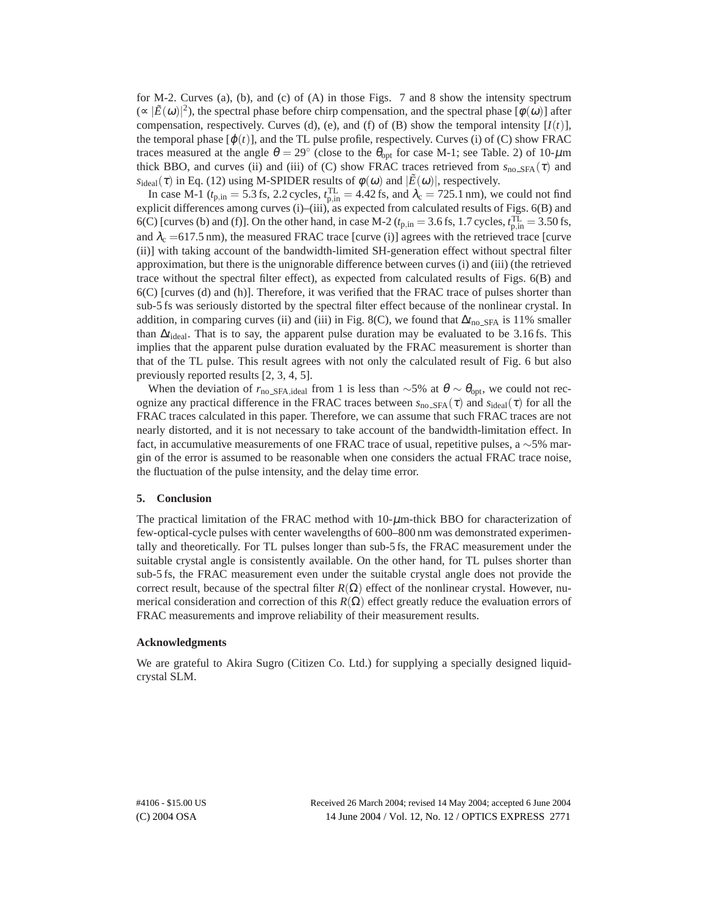for M-2. Curves (a), (b), and (c) of (A) in those Figs. 7 and 8 show the intensity spectrum  $(\propto |\tilde{E}(\omega)|^2)$ , the spectral phase before chirp compensation, and the spectral phase  $[\phi(\omega)]$  after compensation, respectively. Curves (d), (e), and (f) of (B) show the temporal intensity  $[I(t)]$ , the temporal phase  $[\varphi(t)]$ , and the TL pulse profile, respectively. Curves (i) of (C) show FRAC traces measured at the angle  $\theta = 29^{\circ}$  (close to the  $\theta_{opt}$  for case M-1; see Table. 2) of 10- $\mu$ m thick BBO, and curves (ii) and (iii) of (C) show FRAC traces retrieved from  $s_{\text{no\_SFA}}(\tau)$  and  $s_{\text{ideal}}(\tau)$  in Eq. (12) using M-SPIDER results of  $\phi(\omega)$  and  $|\tilde{E}(\omega)|$ , respectively.

In case M-1 ( $t_{p,in} = 5.3$  fs, 2.2 cycles,  $t_{p,in}^{TL} = 4.42$  fs, and  $\lambda_c = 725.1$  nm), we could not find explicit differences among curves (i)–(iii), as expected from calculated results of Figs. 6(B) and 6(C) [curves (b) and (f)]. On the other hand, in case M-2 ( $t_{p,in} = 3.6$  fs, 1.7 cycles,  $t_{p,in}^{TL} = 3.50$  fs, and  $\lambda_c = 617.5$  nm), the measured FRAC trace [curve (i)] agrees with the retrieved trace [curve (ii)] with taking account of the bandwidth-limited SH-generation effect without spectral filter approximation, but there is the unignorable difference between curves (i) and (iii) (the retrieved trace without the spectral filter effect), as expected from calculated results of Figs. 6(B) and 6(C) [curves (d) and (h)]. Therefore, it was verified that the FRAC trace of pulses shorter than sub-5 fs was seriously distorted by the spectral filter effect because of the nonlinear crystal. In addition, in comparing curves (ii) and (iii) in Fig. 8(C), we found that  $\Delta t_{\text{no\_SFA}}$  is 11% smaller than ∆*t*ideal. That is to say, the apparent pulse duration may be evaluated to be 3.16 fs. This implies that the apparent pulse duration evaluated by the FRAC measurement is shorter than that of the TL pulse. This result agrees with not only the calculated result of Fig. 6 but also previously reported results [2, 3, 4, 5].

When the deviation of  $r_{\text{no\_SFA},\text{ideal}}$  from 1 is less than ~5% at  $\theta \sim \theta_{\text{opt}}$ , we could not recognize any practical difference in the FRAC traces between  $s_{no\_SFA}(\tau)$  and  $s_{ideal}(\tau)$  for all the FRAC traces calculated in this paper. Therefore, we can assume that such FRAC traces are not nearly distorted, and it is not necessary to take account of the bandwidth-limitation effect. In fact, in accumulative measurements of one FRAC trace of usual, repetitive pulses, a ∼5% margin of the error is assumed to be reasonable when one considers the actual FRAC trace noise, the fluctuation of the pulse intensity, and the delay time error.

#### **5. Conclusion**

The practical limitation of the FRAC method with  $10-\mu$ m-thick BBO for characterization of few-optical-cycle pulses with center wavelengths of 600–800 nm was demonstrated experimentally and theoretically. For TL pulses longer than sub-5 fs, the FRAC measurement under the suitable crystal angle is consistently available. On the other hand, for TL pulses shorter than sub-5 fs, the FRAC measurement even under the suitable crystal angle does not provide the correct result, because of the spectral filter  $R(\Omega)$  effect of the nonlinear crystal. However, numerical consideration and correction of this  $R(\Omega)$  effect greatly reduce the evaluation errors of FRAC measurements and improve reliability of their measurement results.

#### **Acknowledgments**

We are grateful to Akira Sugro (Citizen Co. Ltd.) for supplying a specially designed liquidcrystal SLM.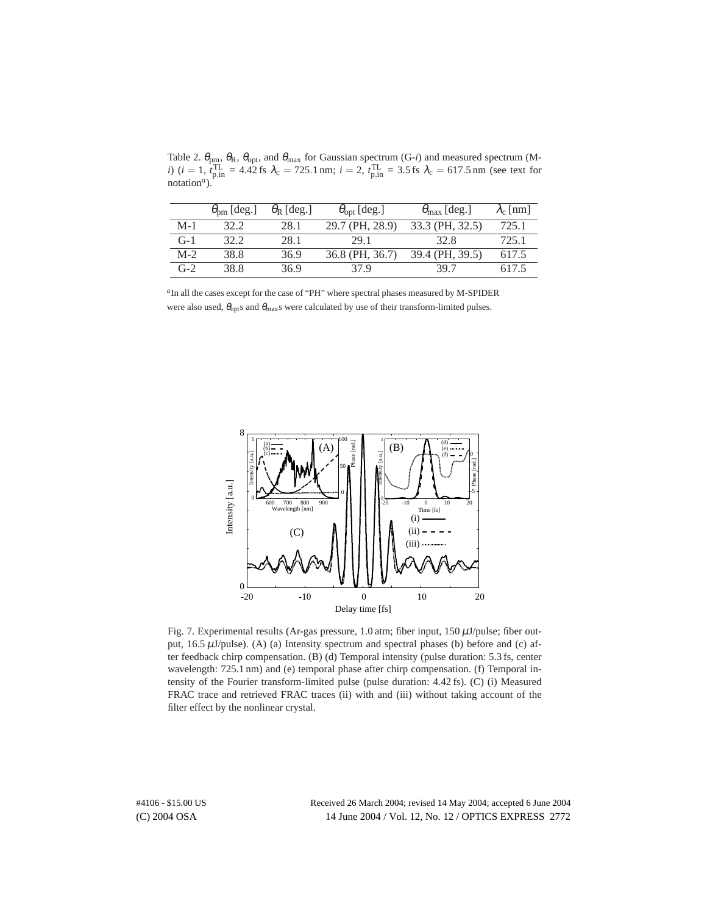Table 2.  $\theta_{\rm pm}$ ,  $\theta_{\rm R}$ ,  $\theta_{\rm opt}$ , and  $\theta_{\rm max}$  for Gaussian spectrum (G-*i*) and measured spectrum (M*i*) (*i* = 1,  $t_{\text{p,in}}^{\text{TL}}$  = 4.42 fs  $\lambda_c$  = 725.1 nm; *i* = 2,  $t_{\text{p,in}}^{\text{TL}}$  = 3.5 fs  $\lambda_c$  = 617.5 nm (see text for notation*a*).

|       | $\theta_{\text{pm}}$ [deg.] | $\theta_{\rm R}$ [deg.] | $\theta_{opt}$ [deg.] | $\theta_{\text{max}}$ [deg.] | $\lambda_c$ [nm] |
|-------|-----------------------------|-------------------------|-----------------------|------------------------------|------------------|
| $M-1$ | 32.2                        | 28.1                    | 29.7 (PH, 28.9)       | 33.3 (PH, 32.5)              | 725.1            |
| $G-1$ | 32.2                        | 28.1                    | 29.1                  | 32 R                         | 725.1            |
| $M-2$ | 38.8                        | 36.9                    | 36.8 (PH, 36.7)       | 39.4 (PH, 39.5)              | 617.5            |
| $G-2$ | 38.8                        | 36.9                    | 37 9                  | 39 7                         | 617.5            |

*<sup>a</sup>*In all the cases except for the case of "PH" where spectral phases measured by M-SPIDER were also used,  $\theta_{opt}$ s and  $\theta_{max}$ s were calculated by use of their transform-limited pulses.



Fig. 7. Experimental results (Ar-gas pressure, 1.0 atm; fiber input,  $150 \mu J$ /pulse; fiber output,  $16.5 \mu J$ /pulse). (A) (a) Intensity spectrum and spectral phases (b) before and (c) after feedback chirp compensation. (B) (d) Temporal intensity (pulse duration: 5.3 fs, center wavelength: 725.1 nm) and (e) temporal phase after chirp compensation. (f) Temporal intensity of the Fourier transform-limited pulse (pulse duration: 4.42 fs). (C) (i) Measured FRAC trace and retrieved FRAC traces (ii) with and (iii) without taking account of the filter effect by the nonlinear crystal.

(C) 2004 OSA 14 June 2004 / Vol. 12, No. 12 / OPTICS EXPRESS 2772 #4106 - \$15.00 US Received 26 March 2004; revised 14 May 2004; accepted 6 June 2004